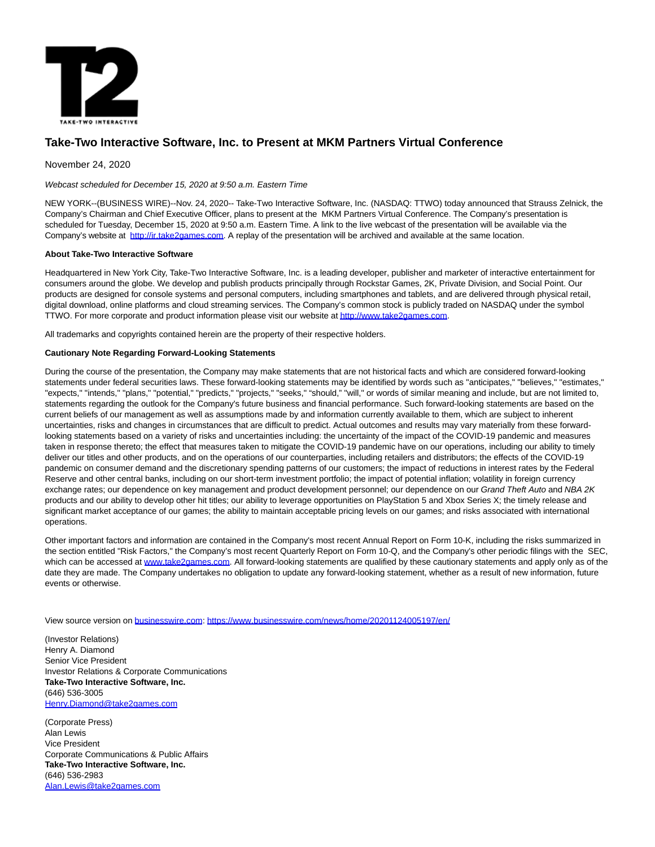

## **Take-Two Interactive Software, Inc. to Present at MKM Partners Virtual Conference**

November 24, 2020

Webcast scheduled for December 15, 2020 at 9:50 a.m. Eastern Time

NEW YORK--(BUSINESS WIRE)--Nov. 24, 2020-- Take-Two Interactive Software, Inc. (NASDAQ: TTWO) today announced that Strauss Zelnick, the Company's Chairman and Chief Executive Officer, plans to present at the MKM Partners Virtual Conference. The Company's presentation is scheduled for Tuesday, December 15, 2020 at 9:50 a.m. Eastern Time. A link to the live webcast of the presentation will be available via the Company's website at [http://ir.take2games.com.](https://cts.businesswire.com/ct/CT?id=smartlink&url=http%3A%2F%2Fir.take2games.com&esheet=52335010&newsitemid=20201124005197&lan=en-US&anchor=http%3A%2F%2Fir.take2games.com&index=1&md5=5ede4a42625c0aaaa53146c6b6c19c92) A replay of the presentation will be archived and available at the same location.

## **About Take-Two Interactive Software**

Headquartered in New York City, Take-Two Interactive Software, Inc. is a leading developer, publisher and marketer of interactive entertainment for consumers around the globe. We develop and publish products principally through Rockstar Games, 2K, Private Division, and Social Point. Our products are designed for console systems and personal computers, including smartphones and tablets, and are delivered through physical retail, digital download, online platforms and cloud streaming services. The Company's common stock is publicly traded on NASDAQ under the symbol TTWO. For more corporate and product information please visit our website a[t http://www.take2games.com.](https://cts.businesswire.com/ct/CT?id=smartlink&url=http%3A%2F%2Fwww.take2games.com&esheet=52335010&newsitemid=20201124005197&lan=en-US&anchor=http%3A%2F%2Fwww.take2games.com&index=2&md5=dd9e73d739f0557d3a1c76608b8a6ff2)

All trademarks and copyrights contained herein are the property of their respective holders.

## **Cautionary Note Regarding Forward-Looking Statements**

During the course of the presentation, the Company may make statements that are not historical facts and which are considered forward-looking statements under federal securities laws. These forward-looking statements may be identified by words such as "anticipates," "believes," "estimates," "expects," "intends," "plans," "potential," "predicts," "projects," "seeks," "should," "will," or words of similar meaning and include, but are not limited to, statements regarding the outlook for the Company's future business and financial performance. Such forward-looking statements are based on the current beliefs of our management as well as assumptions made by and information currently available to them, which are subject to inherent uncertainties, risks and changes in circumstances that are difficult to predict. Actual outcomes and results may vary materially from these forwardlooking statements based on a variety of risks and uncertainties including: the uncertainty of the impact of the COVID-19 pandemic and measures taken in response thereto; the effect that measures taken to mitigate the COVID-19 pandemic have on our operations, including our ability to timely deliver our titles and other products, and on the operations of our counterparties, including retailers and distributors; the effects of the COVID-19 pandemic on consumer demand and the discretionary spending patterns of our customers; the impact of reductions in interest rates by the Federal Reserve and other central banks, including on our short-term investment portfolio; the impact of potential inflation; volatility in foreign currency exchange rates; our dependence on key management and product development personnel; our dependence on our Grand Theft Auto and NBA 2K products and our ability to develop other hit titles; our ability to leverage opportunities on PlayStation 5 and Xbox Series X; the timely release and significant market acceptance of our games; the ability to maintain acceptable pricing levels on our games; and risks associated with international operations.

Other important factors and information are contained in the Company's most recent Annual Report on Form 10-K, including the risks summarized in the section entitled "Risk Factors," the Company's most recent Quarterly Report on Form 10-Q, and the Company's other periodic filings with the SEC, which can be accessed at [www.take2games.com.](https://cts.businesswire.com/ct/CT?id=smartlink&url=http%3A%2F%2Fwww.take2games.com&esheet=52335010&newsitemid=20201124005197&lan=en-US&anchor=www.take2games.com&index=3&md5=d04c4a459d44b60c5a04c0a5ff93ef8b) All forward-looking statements are qualified by these cautionary statements and apply only as of the date they are made. The Company undertakes no obligation to update any forward-looking statement, whether as a result of new information, future events or otherwise.

View source version on [businesswire.com:](http://businesswire.com/)<https://www.businesswire.com/news/home/20201124005197/en/>

(Investor Relations) Henry A. Diamond Senior Vice President Investor Relations & Corporate Communications **Take-Two Interactive Software, Inc.** (646) 536-3005 [Henry.Diamond@take2games.com](mailto:Henry.Diamond@take2games.com)

(Corporate Press) Alan Lewis Vice President Corporate Communications & Public Affairs **Take-Two Interactive Software, Inc.** (646) 536-2983 [Alan.Lewis@take2games.com](mailto:Alan.Lewis@take2games.com)